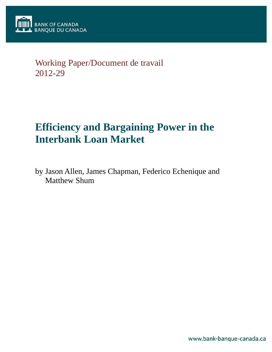

## Working Paper/Document de travail 2012-29

# **Efficiency and Bargaining Power in the Interbank Loan Market**

by Jason Allen, James Chapman, Federico Echenique and Matthew Shum

www.bank-banque-canada.ca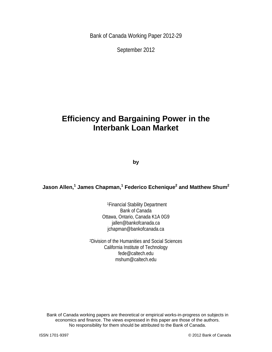Bank of Canada Working Paper 2012-29

September 2012

## **Efficiency and Bargaining Power in the Interbank Loan Market**

**by** 

## $J$ ason Allen, $^1$  James Chapman, $^1$  Federico Echenique $^2$  and Matthew Shum $^2$

1Financial Stability Department Bank of Canada Ottawa, Ontario, Canada K1A 0G9 jallen@bankofcanada.ca jchapman@bankofcanada.ca

2Division of the Humanities and Social Sciences California Institute of Technology fede@caltech.edu mshum@caltech.edu

Bank of Canada working papers are theoretical or empirical works-in-progress on subjects in economics and finance. The views expressed in this paper are those of the authors. No responsibility for them should be attributed to the Bank of Canada.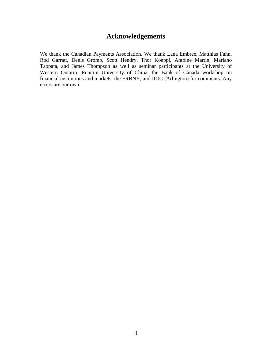## **Acknowledgements**

We thank the Canadian Payments Association. We thank Lana Embree, Matthias Fahn, Rod Garratt, Denis Gromb, Scott Hendry, Thor Koeppl, Antoine Martin, Mariano Tappata, and James Thompson as well as seminar participants at the University of Western Ontario, Renmin University of China, the Bank of Canada workshop on financial institutions and markets, the FRBNY, and IIOC (Arlington) for comments. Any errors are our own.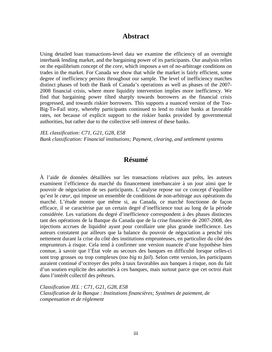## **Abstract**

Using detailed loan transactions-level data we examine the efficiency of an overnight interbank lending market, and the bargaining power of its participants. Our analysis relies on the equilibrium concept of the *core*, which imposes a set of no-arbitrage conditions on trades in the market. For Canada we show that while the market is fairly efficient, some degree of inefficiency persists throughout our sample. The level of inefficiency matches distinct phases of both the Bank of Canada's operations as well as phases of the 2007- 2008 financial crisis, where more liquidity intervention implies more inefficiency. We find that bargaining power tilted sharply towards borrowers as the financial crisis progressed, and towards riskier borrowers. This supports a nuanced version of the Too-Big-To-Fail story, whereby participants continued to lend to riskier banks at favorable rates, not because of explicit support to the riskier banks provided by governmental authorities, but rather due to the collective self-interest of these banks.

*JEL classification: C71, G21, G28, E58 Bank classification: Financial institutions; Payment, clearing, and settlement systems* 

## **Résumé**

À l'aide de données détaillées sur les transactions relatives aux prêts, les auteurs examinent l'efficience du marché du financement interbancaire à un jour ainsi que le pouvoir de négociation de ses participants. L'analyse repose sur ce concept d'équilibre qu'est le *cœur*, qui impose un ensemble de conditions de non-arbitrage aux opérations du marché. L'étude montre que même si, au Canada, ce marché fonctionne de façon efficace, il se caractérise par un certain degré d'inefficience tout au long de la période considérée. Les variations du degré d'inefficience correspondent à des phases distinctes tant des opérations de la Banque du Canada que de la crise financière de 2007-2008, des injections accrues de liquidité ayant pour corollaire une plus grande inefficience. Les auteurs constatent par ailleurs que la balance du pouvoir de négociation a penché très nettement durant la crise du côté des institutions emprunteuses, en particulier du côté des emprunteurs à risque. Cela tend à confirmer une version nuancée d'une hypothèse bien connue, à savoir que l'État vole au secours des banques en difficulté lorsque celles-ci sont trop grosses ou trop complexes (*too big to fail*). Selon cette version, les participants auraient continué d'octroyer des prêts à taux favorables aux banques à risque, non du fait d'un soutien explicite des autorités à ces banques, mais surtout parce que cet octroi était dans l'intérêt collectif des prêteurs.

*Classification JEL : C71, G21, G28, E58 Classification de la Banque : Institutions financières; Systèmes de paiement, de compensation et de règlement*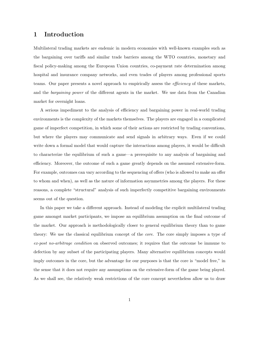### 1 Introduction

Multilateral trading markets are endemic in modern economies with well-known examples such as the bargaining over tariffs and similar trade barriers among the WTO countries, monetary and fiscal policy-making among the European Union countries, co-payment rate determination among hospital and insurance company networks, and even trades of players among professional sports teams. Our paper presents a novel approach to empirically assess the efficiency of these markets, and the bargaining power of the different agents in the market. We use data from the Canadian market for overnight loans.

A serious impediment to the analysis of efficiency and bargaining power in real-world trading environments is the complexity of the markets themselves. The players are engaged in a complicated game of imperfect competition, in which some of their actions are restricted by trading conventions, but where the players may communicate and send signals in arbitrary ways. Even if we could write down a formal model that would capture the interactions among players, it would be difficult to characterize the equilibrium of such a game—a prerequisite to any analysis of bargaining and efficiency. Moreover, the outcome of such a game greatly depends on the assumed extensive-form. For example, outcomes can vary according to the sequencing of offers (who is allowed to make an offer to whom and when), as well as the nature of information asymmetries among the players. For these reasons, a complete "structural" analysis of such imperfectly competitive bargaining environments seems out of the question.

In this paper we take a different approach. Instead of modeling the explicit multilateral trading game amongst market participants, we impose an equilibrium assumption on the final outcome of the market. Our approach is methodologically closer to general equilibrium theory than to game theory: We use the classical equilibrium concept of the core. The core simply imposes a type of ex-post no-arbitrage condition on observed outcomes; it requires that the outcome be immune to defection by any subset of the participating players. Many alternative equilibrium concepts would imply outcomes in the core, but the advantage for our purposes is that the core is "model free," in the sense that it does not require any assumptions on the extensive-form of the game being played. As we shall see, the relatively weak restrictions of the core concept nevertheless allow us to draw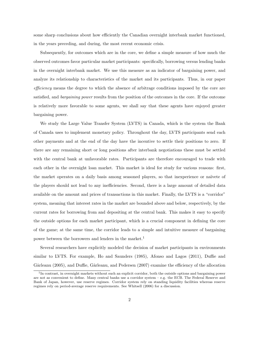some sharp conclusions about how efficiently the Canadian overnight interbank market functioned, in the years preceding, and during, the most recent economic crisis.

Subsequently, for outcomes which are in the core, we define a simple measure of how much the observed outcomes favor particular market participants: specifically, borrowing versus lending banks in the overnight interbank market. We use this measure as an indicator of bargaining power, and analyze its relationship to characteristics of the market and its participants. Thus, in our paper efficiency means the degree to which the absence of arbitrage conditions imposed by the core are satisfied, and *bargaining power* results from the position of the outcomes in the core. If the outcome is relatively more favorable to some agents, we shall say that these agents have enjoyed greater bargaining power.

We study the Large Value Transfer System (LVTS) in Canada, which is the system the Bank of Canada uses to implement monetary policy. Throughout the day, LVTS participants send each other payments and at the end of the day have the incentive to settle their positions to zero. If there are any remaining short or long positions after interbank negotiations these must be settled with the central bank at unfavorable rates. Participants are therefore encouraged to trade with each other in the overnight loan market. This market is ideal for study for various reasons: first, the market operates on a daily basis among seasoned players, so that inexperience or na¨ıvete of the players should not lead to any inefficiencies. Second, there is a large amount of detailed data available on the amount and prices of transactions in this market. Finally, the LVTS is a "corridor" system, meaning that interest rates in the market are bounded above and below, respectively, by the current rates for borrowing from and depositing at the central bank. This makes it easy to specify the outside options for each market participant, which is a crucial component in defining the core of the game; at the same time, the corridor leads to a simple and intuitive measure of bargaining power between the borrowers and lenders in the market.<sup>1</sup>

Several researchers have explicitly modeled the decision of market participants in environments similar to LVTS. For example, Ho and Saunders (1985), Afonso and Lagos (2011), Duffie and Gârleanu (2005), and Duffie, Gârleanu, and Pedersen (2007) examine the efficiency of the allocation

<sup>&</sup>lt;sup>1</sup>In contrast, in overnight markets without such an explicit corridor, both the outside options and bargaining power are not as convenient to define. Many central banks use a corridor system – e.g. the ECB. The Federal Reserve and Bank of Japan, however, use reserve regimes. Corridor system rely on standing liquidity facilities whereas reserve regimes rely on period-average reserve requirements. See Whitsell (2006) for a discussion.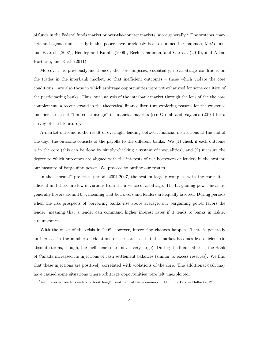of funds in the Federal funds market or over-the-counter markets, more generally.<sup>2</sup> The systems, markets and agents under study in this paper have previously been examined in Chapman, McAdams, and Paarsch (2007), Hendry and Kamhi (2009), Bech, Chapman, and Garratt (2010), and Allen, Hortaçsu, and Kastl (2011).

Moreover, as previously mentioned, the core imposes, essentially, no-arbitrage conditions on the trades in the interbank market, so that inefficient outcomes – those which violate the core conditions – are also those in which arbitrage opportunities were not exhausted for some coalition of the participating banks. Thus, our analysis of the interbank market through the lens of the the core complements a recent strand in the theoretical finance literature exploring reasons for the existence and persistence of "limited arbitrage" in financial markets (see Gromb and Vayanos (2010) for a survey of the literature).

A market outcome is the result of overnight lending between financial institutions at the end of the day: the outcome consists of the payoffs to the different banks. We (1) check if each outcome is in the core (this can be done by simply checking a system of inequalities), and (2) measure the degree to which outcomes are aligned with the interests of net borrowers or lenders in the system: our measure of bargaining power. We proceed to outline our results.

In the "normal" pre-crisis period, 2004-2007, the system largely complies with the core: it is efficient and there are few deviations from the absence of arbitrage. The bargaining power measure generally hovers around 0.5, meaning that borrowers and lenders are equally favored. During periods when the risk prospects of borrowing banks rise above average, our bargaining power favors the lender, meaning that a lender can command higher interest rates if it lends to banks in riskier circumstances.

With the onset of the crisis in 2008, however, interesting changes happen. There is generally an increase in the number of violations of the core, so that the market becomes less efficient (in absolute terms, though, the inefficiencies are never very large). During the financial crisis the Bank of Canada increased its injections of cash settlement balances (similar to excess reserves). We find that these injections are positively correlated with violations of the core. The additional cash may have caused some situations where arbitrage opportunities were left unexploited.

<sup>2</sup>An interested reader can find a book length treatment of the economics of OTC markets in Duffie (2012).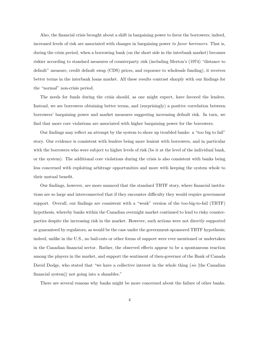Also, the financial crisis brought about a shift in bargaining power to favor the borrowers; indeed, increased levels of risk are associated with changes in bargaining power to favor borrowers. That is, during the crisis period, when a borrowing bank (on the short side in the interbank market) becomes riskier according to standard measures of counterparty risk (including Merton's (1974) "distance to default" measure, credit default swap (CDS) prices, and exposure to wholesale funding), it receives better terms in the interbank loans market. All these results contrast sharply with our findings for the "normal" non-crisis period.

The needs for funds during the crisis should, as one might expect, have favored the lenders. Instead, we see borrowers obtaining better terms, and (surprisingly) a positive correlation between borrowers' bargaining power and market measures suggesting increasing default risk. In turn, we find that more core violations are associated with higher bargaining power for the borrowers.

Our findings may reflect an attempt by the system to shore up troubled banks: a "too big to fail" story. Our evidence is consistent with lenders being more lenient with borrowers, and in particular with the borrowers who were subject to higher levels of risk (be it at the level of the individual bank, or the system). The additional core violations during the crisis is also consistent with banks being less concerned with exploiting arbitrage opportunities and more with keeping the system whole to their mutual benefit.

Our findings, however, are more nuanced that the standard TBTF story, where financial institutions are so large and interconnected that if they encounter difficulty they would require government support. Overall, our findings are consistent with a "weak" version of the too-big-to-fail (TBTF) hypothesis, whereby banks within the Canadian overnight market continued to lend to risky counterparties despite the increasing risk in the market. However, such actions were not directly supported or guaranteed by regulators, as would be the case under the government-sponsored TBTF hypothesis; indeed, unlike in the U.S., no bail-outs or other forms of support were ever mentioned or undertaken in the Canadian financial sector. Rather, the observed effects appear to be a spontaneous reaction among the players in the market, and support the sentiment of then-governor of the Bank of Canada David Dodge, who stated that "we have a collective interest in the whole thing (sic [the Canadian financial system]) not going into a shambles."

There are several reasons why banks might be more concerned about the failure of other banks.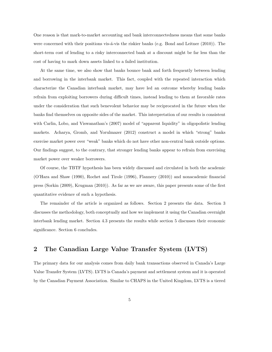One reason is that mark-to-market accounting and bank interconnectedness means that some banks were concerned with their positions vis- $\acute{a}$ -vis the riskier banks (e.g. Bond and Leitner (2010)). The short-term cost of lending to a risky interconnected bank at a discount might be far less than the cost of having to mark down assets linked to a failed institution.

At the same time, we also show that banks bounce bank and forth frequently between lending and borrowing in the interbank market. This fact, coupled with the repeated interaction which characterize the Canadian interbank market, may have led an outcome whereby lending banks refrain from exploiting borrowers during difficult times, instead lending to them at favorable rates under the consideration that such benevolent behavior may be reciprocated in the future when the banks find themselves on opposite sides of the market. This interpretation of our results is consistent with Carlin, Lobo, and Viswanathan's (2007) model of "apparent liquidity" in oligopolistic lending markets. Acharya, Gromb, and Yorulmazer (2012) construct a model in which "strong" banks exercise market power over "weak" banks which do not have other non-central bank outside options. Our findings suggest, to the contrary, that stronger lending banks appear to refrain from exercising market power over weaker borrowers.

Of course, the TBTF hypothesis has been widely discussed and circulated in both the academic (O'Hara and Shaw (1990), Rochet and Tirole (1996), Flannery (2010)) and nonacademic financial press (Sorkin (2009), Krugman (2010)). As far as we are aware, this paper presents some of the first quantitative evidence of such a hypothesis.

The remainder of the article is organized as follows. Section 2 presents the data. Section 3 discusses the methodology, both conceptually and how we implement it using the Canadian overnight interbank lending market. Section 4.3 presents the results while section 5 discusses their economic significance. Section 6 concludes.

## 2 The Canadian Large Value Transfer System (LVTS)

The primary data for our analysis comes from daily bank transactions observed in Canada's Large Value Transfer System (LVTS). LVTS is Canada's payment and settlement system and it is operated by the Canadian Payment Association. Similar to CHAPS in the United Kingdom, LVTS is a tiered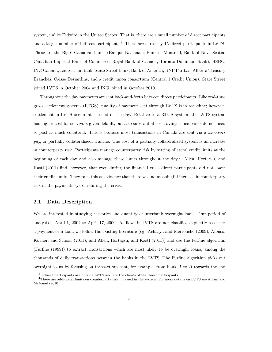system, unlike Fedwire in the United States. That is, there are a small number of direct participants and a larger number of indirect participants.<sup>3</sup> There are currently 15 direct participants in LVTS. These are the Big 6 Canadian banks (Banque Nationale, Bank of Montreal, Bank of Nova Scotia, Canadian Imperial Bank of Commerce, Royal Bank of Canada, Toronto-Dominion Bank), HSBC, ING Canada, Laurentian Bank, State Street Bank, Bank of America, BNP Paribas, Alberta Treasury Branches, Caisse Desjardins, and a credit union consortium (Central 1 Credit Union). State Street joined LVTS in October 2004 and ING joined in October 2010.

Throughout the day payments are sent back-and-forth between direct participants. Like real-time gross settlement systems (RTGS), finality of payment sent through LVTS is in real-time; however, settlement in LVTS occurs at the end of the day. Relative to a RTGS system, the LVTS system has higher cost for survivors given default, but also substantial cost savings since banks do not need to post as much collateral. This is because most transactions in Canada are sent via a survivors pay, or partially collateralized, tranche. The cost of a partially collateralized system is an increase in counterparty risk. Participants manage counterparty risk by setting bilateral credit limits at the beginning of each day and also manage these limits throughout the day.<sup>4</sup> Allen, Hortacsu, and Kastl (2011) find, however, that even during the financial crisis direct participants did not lower their credit limits. They take this as evidence that there was no meaningful increase in counterparty risk in the payments system during the crisis.

#### 2.1 Data Description

We are interested in studying the price and quantity of interbank overnight loans. Our period of analysis is April 1, 2004 to April 17, 2009. As flows in LVTS are not classified explicitly as either a payment or a loan, we follow the existing literature (eg. Acharya and Merrouche (2009), Afonso, Kovner, and Schoar  $(2011)$ , and Allen, Hortacsu, and Kastl  $(2011)$ ) and use the Furfine algorithm (Furfine (1999)) to extract transactions which are most likely to be overnight loans, among the thousands of daily transactions between the banks in the LVTS. The Furfine algorithm picks out overnight loans by focusing on transactions sent, for example, from bank  $A$  to  $B$  towards the end

<sup>&</sup>lt;sup>3</sup>Indirect participants are outside LVTS and are the clients of the direct participants.

<sup>&</sup>lt;sup>4</sup>There are additional limits on counterparty risk imposed in the system. For more details on LVTS see Arjani and McVanel (2010)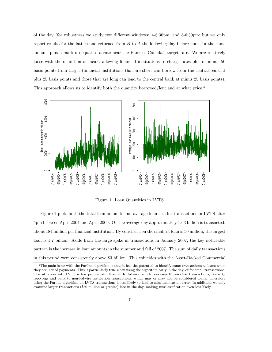of the day (for robustness we study two different windows: 4-6:30pm, and 5-6:30pm; but we only report results for the latter) and returned from  $B$  to  $A$  the following day before noon for the same amount plus a mark-up equal to a rate near the Bank of Canada's target rate. We are relatively loose with the definition of 'near', allowing financial institutions to charge rates plus or minus 50 basis points from target (financial institutions that are short can borrow from the central bank at plus 25 basis points and those that are long can lend to the central bank at minus 25 basis points). This approach allows us to identify both the quantity borrowed/lent and at what price.<sup>5</sup>



Figure 1: Loan Quantities in LVTS

Figure 1 plots both the total loan amounts and average loan size for transactions in LVTS after 5pm between April 2004 and April 2009. On the average day approximately 1.63 billion is transacted, about 184 million per financial institution. By construction the smallest loan is 50 million; the largest loan is 1.7 billion. Aside from the large spike in transactions in January 2007, the key noticeable pattern is the increase in loan amounts in the summer and fall of 2007. The sum of daily transactions in this period were consistently above \$3 billion. This coincides with the Asset-Backed Commercial

 $5$ The main issue with the Furfine algorithm is that it has the potential to identify some transactions as loans when they are indeed payments. This is particularly true when using the algorithm early in the day, or for small transactions. The situation with LVTS is less problematic than with Fedwire, which processes Euro-dollar transactions, tri-party repo legs and bank to non-fedwire institution transactions, which may or may not be considered loans. Therefore using the Furfine algorithm on LVTS transactions is less likely to lead to misclassification error. In addition, we only examine larger transactions (\$50 million or greater) late in the day, making misclassification even less likely.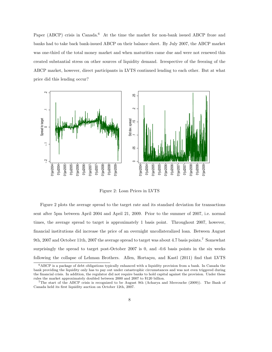Paper (ABCP) crisis in Canada.<sup>6</sup> At the time the market for non-bank issued ABCP froze and banks had to take back bank-issued ABCP on their balance sheet. By July 2007, the ABCP market was one-third of the total money market and when maturities came due and were not renewed this created substantial stress on other sources of liquidity demand. Irrespective of the freezing of the ABCP market, however, direct participants in LVTS continued lending to each other. But at what price did this lending occur?



Figure 2: Loan Prices in LVTS

Figure 2 plots the average spread to the target rate and its standard deviation for transactions sent after 5pm between April 2004 and April 21, 2009. Prior to the summer of 2007, i.e. normal times, the average spread to target is approximately 1 basis point. Throughout 2007, however, financial institutions did increase the price of an overnight uncollateralized loan. Between August 9th, 2007 and October 11th, 2007 the average spread to target was about 4.7 basis points.<sup>7</sup> Somewhat surprisingly the spread to target post-October 2007 is 0, and -0.6 basis points in the six weeks following the collapse of Lehman Brothers. Allen, Hortaçsu, and Kastl (2011) find that LVTS

<sup>6</sup>ABCP is a package of debt obligations typically enhanced with a liquidity provision from a bank. In Canada the bank providing the liquidity only has to pay out under catastrophic circumstances and was not even triggered during the financial crisis. In addition, the regulator did not require banks to hold capital against the provision. Under these rules the market approximately doubled between 2000 and 2007 to \$120 billion.

<sup>7</sup>The start of the ABCP crisis is recognized to be August 9th (Acharya and Merrouche (2009)). The Bank of Canada held its first liquidity auction on October 12th, 2007.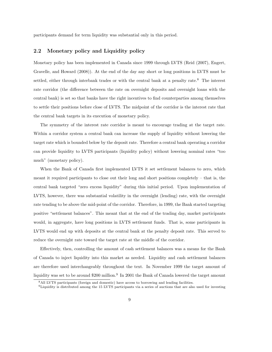participants demand for term liquidity was substantial only in this period.

#### 2.2 Monetary policy and Liquidity policy

Monetary policy has been implemented in Canada since 1999 through LVTS (Reid (2007), Engert, Gravelle, and Howard (2008)). At the end of the day any short or long positions in LVTS must be settled, either through interbank trades or with the central bank at a penalty rate.<sup>8</sup> The interest rate corridor (the difference between the rate on overnight deposits and overnight loans with the central bank) is set so that banks have the right incentives to find counterparties among themselves to settle their positions before close of LVTS. The midpoint of the corridor is the interest rate that the central bank targets in its execution of monetary policy.

The symmetry of the interest rate corridor is meant to encourage trading at the target rate. Within a corridor system a central bank can increase the supply of liquidity without lowering the target rate which is bounded below by the deposit rate. Therefore a central bank operating a corridor can provide liquidity to LVTS participants (liquidity policy) without lowering nominal rates "too much" (monetary policy).

When the Bank of Canada first implemented LVTS it set settlement balances to zero, which meant it required participants to close out their long and short positions completely – that is, the central bank targeted "zero excess liquidity" during this initial period. Upon implementation of LVTS, however, there was substantial volatility in the overnight (lending) rate, with the overnight rate tending to be above the mid-point of the corridor. Therefore, in 1999, the Bank started targeting positive "settlement balances". This meant that at the end of the trading day, market participants would, in aggregate, have long positions in LVTS settlement funds. That is, some participants in LVTS would end up with deposits at the central bank at the penalty deposit rate. This served to reduce the overnight rate toward the target rate at the middle of the corridor.

Effectively, then, controlling the amount of cash settlement balances was a means for the Bank of Canada to inject liquidity into this market as needed. Liquidity and cash settlement balances are therefore used interchangeably throughout the text. In November 1999 the target amount of liquidity was set to be around \$200 million.<sup>9</sup> In 2001 the Bank of Canada lowered the target amount

<sup>8</sup>All LVTS participants (foreign and domestic) have access to borrowing and lending facilities.

<sup>&</sup>lt;sup>9</sup>Liquidity is distributed among the 15 LVTS participants via a series of auctions that are also used for investing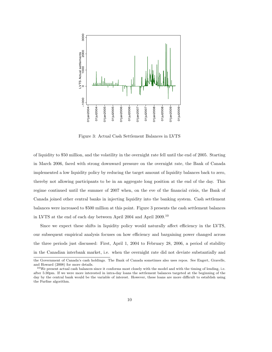

Figure 3: Actual Cash Settlement Balances in LVTS

of liquidity to \$50 million, and the volatility in the overnight rate fell until the end of 2005. Starting in March 2006, faced with strong downward pressure on the overnight rate, the Bank of Canada implemented a low liquidity policy by reducing the target amount of liquidity balances back to zero, thereby not allowing participants to be in an aggregate long position at the end of the day. This regime continued until the summer of 2007 when, on the eve of the financial crisis, the Bank of Canada joined other central banks in injecting liquidity into the banking system. Cash settlement balances were increased to \$500 million at this point. Figure 3 presents the cash settlement balances in LVTS at the end of each day between April 2004 and April 2009.<sup>10</sup>

Since we expect these shifts in liquidity policy would naturally affect efficiency in the LVTS, our subsequent empirical analysis focuses on how efficiency and bargaining power changed across the three periods just discussed: First, April 1, 2004 to February 28, 2006, a period of stability in the Canadian interbank market, i.e. when the overnight rate did not deviate substantially and

the Government of Canada's cash holdings. The Bank of Canada sometimes also uses repos. See Engert, Gravelle, and Howard (2008) for more details.

 $10$ We present actual cash balances since it conforms most closely with the model and with the timing of lending, i.e. after 5:30pm. If we were more interested in intra-day loans the settlement balances targeted at the beginning of the day by the central bank would be the variable of interest. However, these loans are more difficult to establish using the Furfine algorithm.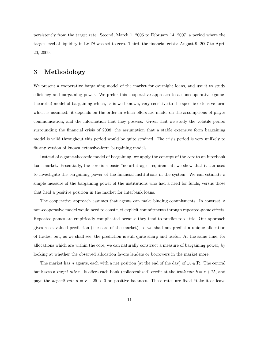persistently from the target rate. Second, March 1, 2006 to February 14, 2007, a period where the target level of liquidity in LVTS was set to zero. Third, the financial crisis: August 9, 2007 to April 20, 2009.

## 3 Methodology

We present a cooperative bargaining model of the market for overnight loans, and use it to study efficiency and bargaining power. We prefer this cooperative approach to a noncooperative (gametheoretic) model of bargaining which, as is well-known, very sensitive to the specific extensive-form which is assumed: it depends on the order in which offers are made, on the assumptions of player communication, and the information that they possess. Given that we study the volatile period surrounding the financial crisis of 2008, the assumption that a stable extensive form bargaining model is valid throughout this period would be quite strained. The crisis period is very unlikely to fit any version of known extensive-form bargaining models.

Instead of a game-theoretic model of bargaining, we apply the concept of the core to an interbank loan market. Essentially, the core is a basic "no-arbitrage" requirement; we show that it can used to investigate the bargaining power of the financial institutions in the system. We can estimate a simple measure of the bargaining power of the institutions who had a need for funds, versus those that held a positive position in the market for interbank loans.

The cooperative approach assumes that agents can make binding commitments. In contrast, a non-cooperative model would need to construct explicit commitments through repeated-game effects. Repeated games are empirically complicated because they tend to predict too little. Our approach gives a set-valued prediction (the core of the market), so we shall not predict a unique allocation of trades; but, as we shall see, the prediction is still quite sharp and useful. At the same time, for allocations which are within the core, we can naturally construct a measure of bargaining power, by looking at whether the observed allocation favors lenders or borrowers in the market more.

The market has n agents, each with a net position (at the end of the day) of  $\omega_i \in \mathbf{R}$ . The central bank sets a *target rate r*. It offers each bank (collateralized) credit at the *bank rate*  $b = r + 25$ , and pays the *deposit rate*  $d = r - 25 > 0$  on positive balances. These rates are fixed "take it or leave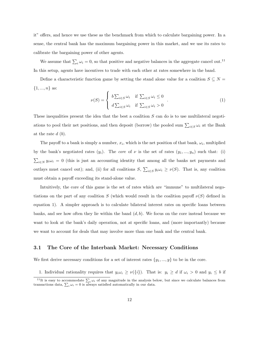it" offers, and hence we use these as the benchmark from which to calculate bargaining power. In a sense, the central bank has the maximum bargaining power in this market, and we use its rates to calibrate the bargaining power of other agents.

We assume that  $\sum_i \omega_i = 0$ , so that positive and negative balances in the aggregate cancel out.<sup>11</sup> In this setup, agents have incentives to trade with each other at rates somewhere in the band.

Define a characteristic function game by setting the stand alone value for a coalition  $S \subseteq N =$  $\{1, ..., n\}$  as:

$$
\nu(S) = \begin{cases} b \sum_{i \in S} \omega_i & \text{if } \sum_{i \in S} \omega_i \le 0 \\ d \sum_{i \in S} \omega_i & \text{if } \sum_{i \in S} \omega_i > 0 \end{cases}
$$
\n(1)

These inequalities present the idea that the best a coalition  $S$  can do is to use multilateral negotiations to pool their net positions, and then deposit (borrow) the pooled sum  $\sum_{i\in S}\omega_i$  at the Bank at the rate  $d(b)$ .

The payoff to a bank is simply a number,  $x_i$ , which is the net position of that bank,  $\omega_i$ , multiplied by the bank's negotiated rates  $(y_i)$ . The *core* of  $\nu$  is the set of rates  $(y_1, ..., y_n)$  such that: (i)  $\sum_{i\in N} y_i\omega_i = 0$  (this is just an accounting identity that among all the banks net payments and outlays must cancel out); and, (ii) for all coalitions  $S$ ,  $\sum_{i \in S} y_i \omega_i \geq \nu(S)$ . That is, any coalition must obtain a payoff exceeding its stand-alone value.

Intuitively, the core of this game is the set of rates which are "immune" to multilateral negotiations on the part of any coalition S (which would result in the coalition payoff  $\nu(S)$  defined in equation 1). A simpler approach is to calculate bilateral interest rates on specific loans between banks, and see how often they lie within the band  $(d, b)$ . We focus on the core instead because we want to look at the bank's daily operation, not at specific loans, and (more importantly) because we want to account for deals that may involve more than one bank and the central bank.

#### 3.1 The Core of the Interbank Market: Necessary Conditions

We first derive necessary conditions for a set of interest rates  $\{y_1, ..., y\}$  to be in the core.

1. Individual rationality requires that  $y_i \omega_i \ge \nu({i})$ . That is:  $y_i \ge d$  if  $\omega_i > 0$  and  $y_i \le b$  if

<sup>&</sup>lt;sup>11</sup>It is easy to accommodate  $\sum_i \omega_i$  of any magnitude in the analysis below, but since we calculate balances from transactions data,  $\sum_i \omega_i = 0$  is always satisfied automatically in our data.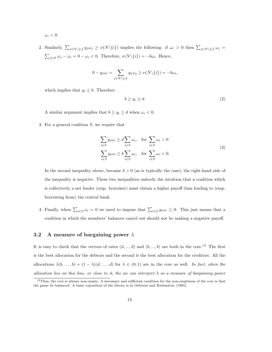$\omega_i < 0$ .

2. Similarly,  $\sum_{j \in N \setminus \{i\}} y_j \omega_j \ge \nu(N \setminus \{i\})$  implies the following: if  $\omega_i > 0$  then  $\sum_{j \in N \setminus \{i\}} \omega_j =$  $\sum_{j \in N} \omega_j - \omega_i = 0 - \omega_i < 0$ . Therefore,  $\nu(N\{\{i\}) = -b\omega_i$ . Hence,

$$
0 - y_i \omega_i = \sum_{j \in N \setminus \{i\}} y_j \omega_j \ge \nu(N \setminus \{i\}) = -b \omega_i,
$$

which implies that  $y_i \leq b$ . Therefore

$$
b \ge y_i \ge d. \tag{2}
$$

A similar argument implies that  $b \geq y_i \geq d$  when  $\omega_i < 0$ .

3. For a general coalition S, we require that

$$
\sum_{i \in S} y_i \omega_i \ge d \sum_{i \in S} \omega_i, \quad \text{for } \sum_{i \in S} \omega_i > 0
$$
\n
$$
\sum_{i \in S} y_i \omega_i \ge b \sum_{i \in S} \omega_i, \quad \text{for } \sum_{i \in S} \omega_i < 0.
$$
\n(3)

In the second inequality above, because  $b > 0$  (as is typically the case), the right-hand side of the inequality is negative. These two inequalities embody the intuition that a coalition which is collectively a net lender (resp. borrower) must obtain a higher payoff than lending to (resp. borrowing from) the central bank.

4. Finally, when  $\sum_{i\in S}\omega_i=0$  we need to impose that  $\sum_{i\in S}y_i\omega_i\geq 0$ . This just means that a coalition in which the members' balances cancel out should not be making a negative payoff.

#### 3.2 A measure of bargaining power  $\lambda$

It is easy to check that the vectors of rates  $(d, ..., d)$  and  $(b, ..., b)$  are both in the core.<sup>12</sup> The first is the best allocation for the debtors and the second is the best allocation for the creditors. All the allocations  $\lambda(b,\ldots,b) + (1-\lambda)(d,\ldots,d)$  for  $\lambda \in (0,1)$  are in the core as well. In fact, when the allocation lies on this line, or close to it, the we can interpret  $\lambda$  as a measure of bargaining power

 $12$ Thus, the core is always non-empty. A necessary and sufficient condition for the non-emptiness of the core is that the game be balanced. A basic exposition of the theory is in Osborne and Rubinstein (1994).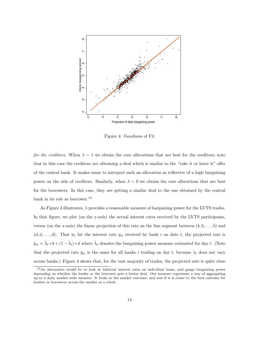

Figure 4: Goodness of Fit

for the creditors. When  $\lambda \sim 1$  we obtain the core allocations that are best for the creditors; note that in this case the creditors are obtaining a deal which is similar to the "take it or leave it" offer of the central bank. It makes sense to interpret such an allocation as reflective of a high bargaining power on the side of creditors. Similarly, when  $\lambda \sim 0$  we obtain the core allocations that are best for the borrowers. In this case, they are getting a similar deal to the one obtained by the central bank in its role as borrower.<sup>13</sup>

As Figure 4 illustrates,  $\lambda$  provides a reasonable measure of bargaining power for the LVTS trades. In that figure, we plot (on the y-axis) the actual interest rates received by the LVTS participants, versus (on the x-axis) the linear projection of this rate on the line segment between  $(b, b, \ldots, b)$  and  $(d, d, \ldots, d)$ . That is, for the interest rate  $y_{it}$  received by bank i on date t, the projected rate is  $\hat{y}_{it} = \hat{\lambda}_t * b + (1 - \hat{\lambda}_t) * d$  where  $\hat{\lambda}_t$  denotes the bargaining power measure estimated for day t. (Note that the projected rate  $\hat{y}_{it}$  is the same for all banks i trading on day t, because  $\lambda_t$  does not vary across banks.) Figure 4 shows that, for the vast majority of trades, the projected rate is quite close

<sup>13</sup>An alternative would be to look at bilateral interest rates on individual loans, and gauge bargaining power depending on whether the lender or the borrower gets a better deal. Our measure represents a way of aggregating up to a daily market-wide measure. It looks at the market outcome, and sees if it is closer to the best outcome for lenders or borrowers across the market as a whole.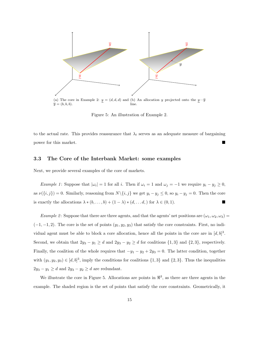

Figure 5: An illustration of Example 2.

to the actual rate. This provides reassurance that  $\lambda_t$  serves as an adequate measure of bargaining power for this market.

#### 3.3 The Core of the Interbank Market: some examples

Next, we provide several examples of the core of markets.

*Example 1*: Suppose that  $|\omega_i| = 1$  for all i. Then if  $\omega_i = 1$  and  $\omega_j = -1$  we require  $y_i - y_j \ge 0$ , as  $\nu(\{i, j\}) = 0$ . Similarly, reasoning from  $N\setminus\{i, j\}$  we get  $y_i - y_j \leq 0$ , so  $y_i - y_j = 0$ . Then the core is exactly the allocations  $\lambda * (b, \ldots, b) + (1 - \lambda) * (d, \ldots, d)$  for  $\lambda \in (0, 1)$ .

*Example 2*: Suppose that there are three agents, and that the agents' net positions are  $(\omega_1, \omega_2, \omega_3)$  $(-1, -1, 2)$ . The core is the set of points  $(y_1, y_2, y_3)$  that satisfy the core constraints. First, no individual agent must be able to block a core allocation, hence all the points in the core are in  $[d, b]^3$ . Second, we obtain that  $2y_3 - y_1 \ge d$  and  $2y_3 - y_2 \ge d$  for coalitions  $\{1,3\}$  and  $\{2,3\}$ , respectively. Finally, the coalition of the whole requires that  $-y_1 - y_2 + 2y_3 = 0$ . The latter condition, together with  $(y_1, y_2, y_3) \in [d, b]^3$ , imply the conditions for coalitions  $\{1, 3\}$  and  $\{2, 3\}$ . Thus the inequalities  $2y_3 - y_1 \ge d$  and  $2y_3 - y_2 \ge d$  are redundant.

We illustrate the core in Figure 5. Allocations are points in  $\mathbb{R}^3$ , as there are three agents in the example. The shaded region is the set of points that satisfy the core constraints. Geometrically, it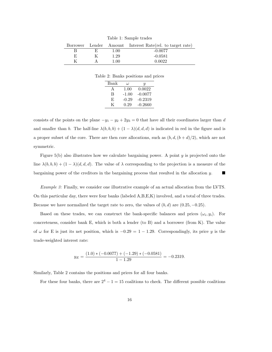Table 1: Sample trades

|    |    |      | Borrower Lender Amount Interest Rate (rel. to target rate) |
|----|----|------|------------------------------------------------------------|
|    | н: | 1.00 | $-0.0077$                                                  |
| Н. |    | 1.29 | $-0.0581$                                                  |
| K  |    | 1.00 | 0.0022                                                     |

Table 2: Banks positions and prices

| Bank | $\iota$ | Ų         |
|------|---------|-----------|
| А    | 1.00    | 0.0022    |
| B    | $-1.00$ | $-0.0077$ |
| F,   | $-0.29$ | $-0.2319$ |
| K    | 0.29    | $-0.2660$ |

consists of the points on the plane  $-y_1 - y_2 + 2y_3 = 0$  that have all their coordinates larger than d and smaller than b. The half-line  $\lambda(b, b, b) + (1 - \lambda)(d, d, d)$  is indicated in red in the figure and is a proper subset of the core. There are then core allocations, such as  $(b, d, (b + d)/2)$ , which are not symmetric.

Figure  $5(b)$  also illustrates how we calculate bargaining power. A point y is projected onto the line  $\lambda(b, b, b) + (1 - \lambda)(d, d, d)$ . The value of  $\lambda$  corresponding to the projection is a measure of the bargaining power of the creditors in the bargaining process that resulted in the allocation  $y$ .

Example 3: Finally, we consider one illustrative example of an actual allocation from the LVTS. On this particular day, there were four banks (labeled A,B,E,K) involved, and a total of three trades. Because we have normalized the target rate to zero, the values of  $(b, d)$  are  $(0.25, -0.25)$ .

Based on these trades, we can construct the bank-specific balances and prices  $(\omega_i, y_i)$ . For concreteness, consider bank E, which is both a lender (to B) and a borrower (from K). The value of  $\omega$  for E is just its net position, which is  $-0.29 = 1 - 1.29$ . Correspondingly, its price y is the trade-weighted interest rate:

$$
y_E = \frac{(1.0) * (-0.0077) + (-1.29) * (-0.0581)}{1 - 1.29} = -0.2319.
$$

Similarly, Table 2 contains the positions and prices for all four banks.

For these four banks, there are  $2^4 - 1 = 15$  coalitions to check. The different possible coalitions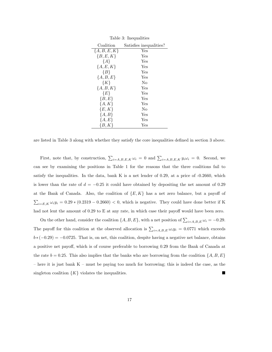|                | rapic o, moduancio      |
|----------------|-------------------------|
| Coalition      | Satisfies inequalities? |
| ${A, B, E, K}$ | Yes                     |
| ${B, E, K}$    | Yes                     |
| ${A}$          | Yes                     |
| ${A, E, K}$    | Yes                     |
| ${B}$          | Yes                     |
| $\{A, B, E\}$  | Yes                     |
| ${K}$          | No                      |
| $\{A, B, K\}$  | Yes                     |
| ${E}$          | Yes                     |
| ${B, E}$       | Yes                     |
| ${A,K}$        | Yes                     |
| $\{E,K\}$      | No                      |
| ${A, B}$       | Yes                     |
| ${A, E}$       | Yes                     |
| $\{B,K\}$      | Yes                     |

Table  $3$  Inequalities

are listed in Table 3 along with whether they satisfy the core inequalities defined in section 3 above.

First, note that, by construction,  $\sum_{i=A,B,E,K} \omega_i = 0$  and  $\sum_{i=A,B,E,K} y_i \omega_i = 0$ . Second, we can see by examining the positions in Table 1 for the reasons that the three coalitions fail to satisfy the inequalities. In the data, bank K is a net lender of 0.29, at a price of -0.2660, which is lower than the rate of  $d = -0.25$  it could have obtained by depositing the net amount of 0.29 at the Bank of Canada. Also, the coalition of  $\{E, K\}$  has a net zero balance, but a payoff of  $\sum_{i=E,K} \omega_i y_i = 0.29 * (0.2319 - 0.2660) < 0$ , which is negative. They could have done better if K had not lent the amount of 0.29 to E at any rate, in which case their payoff would have been zero.

On the other hand, consider the coalition  $\{A, B, E\}$ , with a net position of  $\sum_{i=A, B, E} \omega_i = -0.29$ . The payoff for this coalition at the observed allocation is  $\sum_{i=A,B,E} \omega_i y_i = 0.0771$  which exceeds  $b * (-0.29) = -0.0725$ . That is, on net, this coalition, despite having a negative net balance, obtains a positive net payoff, which is of course preferable to borrowing 0.29 from the Bank of Canada at the rate  $b = 0.25$ . This also implies that the banks who are borrowing from the coalition  $\{A, B, E\}$ – here it is just bank  $K$  – must be paying too much for borrowing; this is indeed the case, as the singleton coalition  $\{K\}$  violates the inequalities.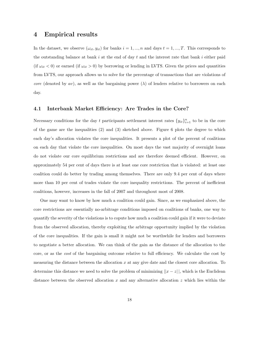#### 4 Empirical results

In the dataset, we observe  $(\omega_{it}, y_{it})$  for banks  $i = 1, ..., n$  and days  $t = 1, ..., T$ . This corresponds to the outstanding balance at bank  $i$  at the end of day  $t$  and the interest rate that bank  $i$  either paid (if  $\omega_{it} < 0$ ) or earned (if  $\omega_{it} > 0$ ) by borrowing or lending in LVTS. Given the prices and quantities from LVTS, our approach allows us to solve for the percentage of transactions that are violations of core (denoted by  $av$ ), as well as the bargaining power ( $\lambda$ ) of lenders relative to borrowers on each day.

#### 4.1 Interbank Market Efficiency: Are Trades in the Core?

Necessary conditions for the day t participants settlement interest rates  $\{y_{it}\}_{i=1}^n$  to be in the core of the game are the inequalities (2) and (3) sketched above. Figure 6 plots the degree to which each day's allocation violates the core inequalities. It presents a plot of the percent of coalitions on each day that violate the core inequalities. On most days the vast majority of overnight loans do not violate our core equilibrium restrictions and are therefore deemed efficient. However, on approximately 54 per cent of days there is at least one core restriction that is violated: at least one coalition could do better by trading among themselves. There are only 9.4 per cent of days where more than 10 per cent of trades violate the core inequality restrictions. The percent of inefficient coalitions, however, increases in the fall of 2007 and throughout most of 2008.

One may want to know by how much a coalition could gain. Since, as we emphasized above, the core restrictions are essentially no-arbitrage conditions imposed on coalitions of banks, one way to quantify the severity of the violations is to copute how much a coalition could gain if it were to deviate from the observed allocation, thereby exploiting the arbitrage opportunity implied by the violation of the core inequalities. If the gain is small it might not be worthwhile for lenders and borrowers to negotiate a better allocation. We can think of the gain as the distance of the allocation to the core, or as the *cost* of the bargaining outcome relative to full efficiency. We calculate the cost by measuring the distance between the allocation  $x$  at any give date and the closest core allocation. To determine this distance we need to solve the problem of minimizing  $||x - z||$ , which is the Euclidean distance between the observed allocation x and any alternative allocation z which lies within the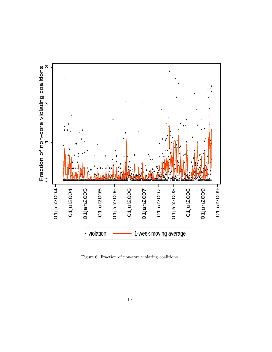

Figure 6: Fraction of non-core violating coalitions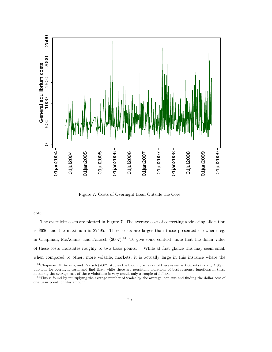

Figure 7: Costs of Overnight Loan Outside the Core

core.

The overnight costs are plotted in Figure 7. The average cost of correcting a violating allocation is \$636 and the maximum is \$2495. These costs are larger than those presented elsewhere, eg. in Chapman, McAdams, and Paarsch  $(2007).<sup>14</sup>$  To give some context, note that the dollar value of these costs translates roughly to two basis points.<sup>15</sup> While at first glance this may seem small when compared to other, more volatile, markets, it is actually large in this instance where the

<sup>&</sup>lt;sup>14</sup>Chapman, McAdams, and Paarsch (2007) studies the bidding behavior of these same participants in daily 4:30pm auctions for overnight cash, and find that, while there are persistent violations of best-response functions in these auctions, the average cost of these violations is very small, only a couple of dollars.

 $15$ This is found by multiplying the average number of trades by the average loan size and finding the dollar cost of one basis point for this amount.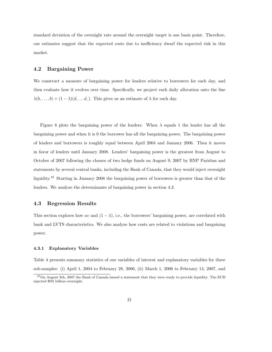standard deviation of the overnight rate around the overnight target is one basis point. Therefore, our estimates suggest that the expected costs due to inefficiency dwarf the expected risk in this market.

#### 4.2 Bargaining Power

We construct a measure of bargaining power for lenders relative to borrowers for each day, and then evaluate how it evolves over time. Specifically, we project each daily allocation onto the line  $\lambda(b, \ldots, b) + (1 - \lambda)(d, \ldots, d)$ . This gives us an estimate of  $\lambda$  for each day.

Figure 8 plots the bargaining power of the lenders. When  $\lambda$  equals 1 the lender has all the bargaining power and when it is 0 the borrower has all the bargaining power. The bargaining power of lenders and borrowers is roughly equal between April 2004 and January 2006. Then it moves in favor of lenders until January 2008. Lenders' bargaining power is the greatest from August to October of 2007 following the closure of two hedge funds on August 9, 2007 by BNP Parisbas and statements by several central banks, including the Bank of Canada, that they would inject overnight liquidity.<sup>16</sup> Starting in January 2008 the bargaining power of borrowers is greater than that of the lenders. We analyze the determinants of bargaining power in section 4.3.

#### 4.3 Regression Results

This section explores how av and  $(1 - \lambda)$ , i.e., the borrowers' bargaining power, are correlated with bank and LVTS characteristics. We also analyze how costs are related to violations and bargaining power.

#### 4.3.1 Explanatory Variables

Table 4 presents summary statistics of our variables of interest and explanatory variables for three sub-samples: (i) April 1, 2004 to February 28, 2006, (ii) March 1, 2006 to February 14, 2007, and

<sup>&</sup>lt;sup>16</sup>On August 9th, 2007 the Bank of Canada issued a statement that they were ready to provide liquidity. The ECB injected  $\text{\large\ensuremath{\in}} 95$  billion over<br>night.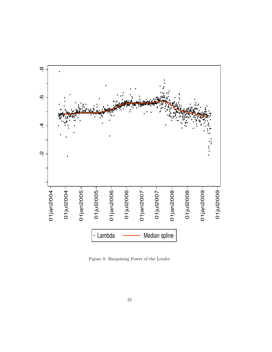

Figure 8: Bargaining Power of the Lender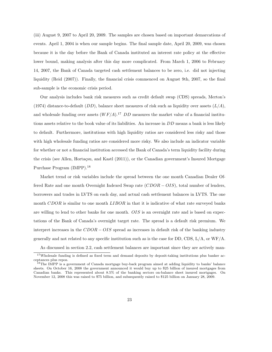(iii) August 9, 2007 to April 20, 2009. The samples are chosen based on important demarcations of events. April 1, 2004 is when our sample begins. The final sample date, April 20, 2009, was chosen because it is the day before the Bank of Canada instituted an interest rate policy at the effective lower bound, making analysis after this day more complicated. From March 1, 2006 to February 14, 2007, the Bank of Canada targeted cash settlement balances to be zero, i.e. did not injecting liquidity (Reid (2007)). Finally, the financial crisis commenced on August 9th, 2007, so the final sub-sample is the economic crisis period.

Our analysis includes bank risk measures such as credit default swap (CDS) spreads, Merton's (1974) distance-to-default  $(DD)$ , balance sheet measures of risk such as liquidity over assets  $(L/A)$ , and wholesale funding over assets  $(WF/A)^{17}$  DD measures the market value of a financial institutions assets relative to the book value of its liabilities. An increase in DD means a bank is less likely to default. Furthermore, institutions with high liquidity ratios are considered less risky and those with high wholesale funding ratios are considered more risky. We also include an indicator variable for whether or not a financial institution accessed the Bank of Canada's term liquidity facility during the crisis (see Allen, Hortaçsu, and Kastl (2011)), or the Canadian government's Insured Mortgage Purchase Program (IMPP).<sup>18</sup>

Market trend or risk variables include the spread between the one month Canadian Dealer Offered Rate and one month Overnight Indexed Swap rate  $(CDOR - OIS)$ , total number of lenders, borrowers and trades in LVTS on each day, and actual cash settlement balances in LVTS. The one month CDOR is similar to one month LIBOR in that it is indicative of what rate surveyed banks are willing to lend to other banks for one month. OIS is an overnight rate and is based on expectations of the Bank of Canada's overnight target rate. The spread is a default risk premium. We interpret increases in the  $CDOR - OIS$  spread as increases in default risk of the banking industry generally and not related to any specific institution such as is the case for DD, CDS,  $L/A$ , or  $WF/A$ .

As discussed in section 2.2, cash settlement balances are important since they are actively man-

<sup>&</sup>lt;sup>17</sup>Wholesale funding is defined as fixed term and demand deposits by deposit-taking institutions plus banker acceptances plus repos.

<sup>&</sup>lt;sup>18</sup>The IMPP is a government of Canada mortgage buy-back program aimed at adding liquidity to banks' balance sheets. On October 16, 2008 the government announced it would buy up to \$25 billion of insured mortgages from Canadian banks. This represented about 8.5% of the banking sectors on-balance sheet insured mortgages. On November 12, 2008 this was raised to \$75 billion, and subsequently raised to \$125 billion on January 28, 2009.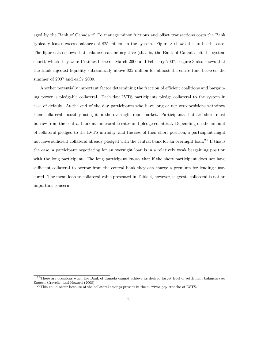aged by the Bank of Canada.<sup>19</sup> To manage minor frictions and offset transactions costs the Bank typically leaves excess balances of \$25 million in the system. Figure 3 shows this to be the case. The figure also shows that balances can be negative (that is, the Bank of Canada left the system short), which they were 15 times between March 2006 and February 2007. Figure 3 also shows that the Bank injected liquidity substantially above \$25 million for almost the entire time between the summer of 2007 and early 2009.

Another potentially important factor determining the fraction of efficient coalitions and bargaining power is pledgable collateral. Each day LVTS participants pledge collateral to the system in case of default. At the end of the day participants who have long or net zero positions withdraw their collateral, possibly using it in the overnight repo market. Participants that are short must borrow from the central bank at unfavorable rates and pledge collateral. Depending on the amount of collateral pledged to the LVTS intraday, and the size of their short position, a participant might not have sufficient collateral already pledged with the central bank for an overnight loan.<sup>20</sup> If this is the case, a participant negotiating for an overnight loan is in a relatively weak bargaining position with the long participant. The long participant knows that if the short participant does not have sufficient collateral to borrow from the central bank they can charge a premium for lending unsecured. The mean loan to collateral value presented in Table 4, however, suggests collateral is not an important concern.

<sup>&</sup>lt;sup>19</sup>There are occasions when the Bank of Canada cannot achieve its desired target level of settlement balances (see Engert, Gravelle, and Howard (2008).

 $^{20}$ This could occur because of the collateral savings present in the survivor pay tranche of LVTS.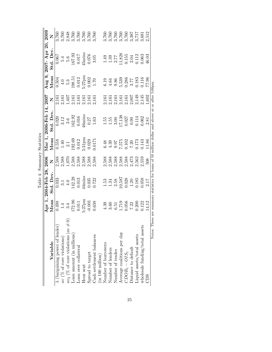|                             | <b>2009</b><br>$\tilde{a}$ |                                                                                                                                                      |                                                                                                                  | 3,760<br>3,760<br>2,848<br>3,760<br>3,760<br>3,760                                                       |                                                                                                     |                           |                      |           |                  |                          |                            |                     | 3,760<br>3,760<br>3,760<br>3,787<br>3,881<br>3,512<br>3,512                                                            |                  |                            |                |                     |                            |                               |              |                                                                       |
|-----------------------------|----------------------------|------------------------------------------------------------------------------------------------------------------------------------------------------|------------------------------------------------------------------------------------------------------------------|----------------------------------------------------------------------------------------------------------|-----------------------------------------------------------------------------------------------------|---------------------------|----------------------|-----------|------------------|--------------------------|----------------------------|---------------------|------------------------------------------------------------------------------------------------------------------------|------------------|----------------------------|----------------|---------------------|----------------------------|-------------------------------|--------------|-----------------------------------------------------------------------|
|                             | 2007-Apr                   | Std. Dev                                                                                                                                             | 0.067                                                                                                            |                                                                                                          | $\frac{5.4}{5.6}$<br>$\frac{167.93}{0.017}$<br>$\frac{15.03}{0.076}$                                |                           |                      |           |                  |                          |                            |                     | $\begin{array}{l} 1.49 \\ 1.39 \\ 2.77 \\ 0.155 \\ 0.112 \\ 0.003 \\ \end{array}$                                      |                  |                            |                |                     |                            |                               |              |                                                                       |
|                             |                            | Aug 9,<br>Mean                                                                                                                                       | $\begin{array}{c} 0.504 \\ 4.0 \\ 5.3 \\ 198.51 \\ 0.012 \\ 5.27 \text{pm} \\ 0.002 \\ 1.70 \\ 1.70 \end{array}$ |                                                                                                          |                                                                                                     |                           |                      |           |                  |                          |                            |                     | 6.19<br>$\begin{array}{c} 6.19 \\ 4.64 \\ 9.5539 \\ 0.286 \\ 0.183 \\ 0.116 \\ 0.116 \\ 0.116 \\ 77.96 \\ \end{array}$ |                  |                            |                |                     |                            |                               |              |                                                                       |
|                             | 2007                       | $\mathsf{z} $                                                                                                                                        |                                                                                                                  | 2,161<br>2,161<br>1,407<br>2,161<br>2,161<br>2,161                                                       |                                                                                                     |                           |                      |           |                  |                          |                            |                     | 2,161<br>2,161 51 51 52 53<br>2,161 51 50 51 55<br>2,160 52 53 54 560 52<br>2,160 52 54 550 52                         |                  |                            |                |                     |                            |                               |              | or after 5:00pm                                                       |
|                             | $2006$ -Feb 14             | Std. Dev.                                                                                                                                            |                                                                                                                  | $\begin{array}{c} 0.020 \\ 3.12 \\ 3.6 \\ 162.92 \\ 0.016 \\ \text{fomins} \\ 0.27 \\ 1.63 \end{array}$  |                                                                                                     |                           |                      |           |                  |                          |                            |                     | $\begin{array}{l} 1.55 \\ 1.55 \\ 1.30 \\ 0.027 \\ 0.027 \\ 0.011 \\ 0.002 \\ 0.003 \\ 2.81 \end{array}$               |                  |                            |                |                     |                            |                               |              | at                                                                    |
| Table 4: Summary Statistics | Mar 1,                     | Mean                                                                                                                                                 | 0.558                                                                                                            |                                                                                                          | $\begin{array}{c} 1.40 \\ 2.1 \\ 192.69 \\ 0.012 \\ \textrm{5:31pm} \\ 0.029 \\ 0.0171 \end{array}$ |                           |                      |           |                  |                          |                            |                     | $6.48$<br>$4.39$<br>$7.575$<br>$7.20$<br>$7.173$<br>$1.13$<br>$1.13$<br>$1.13$                                         |                  |                            |                |                     |                            |                               |              |                                                                       |
|                             | 2006                       |                                                                                                                                                      |                                                                                                                  |                                                                                                          |                                                                                                     |                           |                      |           |                  |                          |                            |                     | 88<br>888888887<br>25888887785588<br>2588888788                                                                        |                  |                            |                |                     |                            |                               |              |                                                                       |
|                             | 2004-Feb 28.               | Std. Dev                                                                                                                                             |                                                                                                                  | $\begin{array}{c} 0.033 \\ 3.1 \\ 4.0 \\ 142.28 \\ 0.013 \\ 4 \text{min} \\ 0.035 \\ 0.0722 \end{array}$ |                                                                                                     |                           |                      |           |                  |                          |                            |                     | $\begin{array}{l} 1.53 \\ 1.34 \\ 2.58 \\ 0.0587 \\ 1.20 \\ 0.028 \\ 1.20 \\ 0.058 \\ 0.058 \\ \end{array}$            |                  |                            |                |                     |                            |                               |              | These are summary statistics for loans of 50 million dollar and above |
|                             |                            | $\frac{\text{Mem}}{\text{Mean}} \frac{1}{0.498}$<br>$\frac{1.4}{1.72.96}$<br>$\frac{3.4}{1.72.96}$<br>$\frac{0.011}{0.011}$<br>$\frac{0.011}{0.001}$ |                                                                                                                  |                                                                                                          |                                                                                                     |                           |                      |           |                  |                          |                            |                     | $\begin{array}{c} 4.39 \\ 3.60 \\ 6.51 \\ 1,719 \\ 0.056 \\ 7.22 \\ 0.200 \\ 0.122 \\ 14.12 \end{array}$               |                  |                            |                |                     |                            |                               |              |                                                                       |
|                             |                            | Variable                                                                                                                                             | Neargaining power of lender                                                                                      | $av$ (% of core violations)                                                                              | $\mathit{av}_2$ (% of core violations $ \mathit{av}$                                                | Loan amount (in millions) | Loan over collateral | Hour sent | Spread to target | Cash settlement balances | $(in 100 \text{ million})$ | Number of borrowers | Number of lenders                                                                                                      | Number of trades | Average coalitions per day | $CDOR1 - OIS1$ | Distance to default | Liquid assets/total assets | wholesale funding/total asset | $_{\rm CDS}$ | Notes:                                                                |

| wistir<br>$\frac{1}{2}$<br>5 |
|------------------------------|
| ing monday<br>{<br>उ<br>ì    |
| i<br>$_{\text{label}}$       |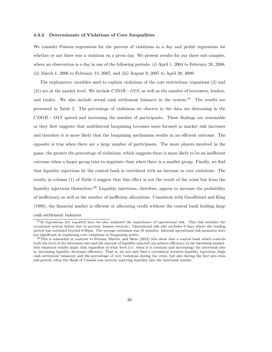#### 4.3.2 Determinants of Violations of Core Inequalities

We consider Poisson regressions for the percent of violations in a day and probit regressions for whether or not there was a violation on a given day. We present results for our three sub-samples, where an observation is a day in one of the following periods: (i) April 1, 2004 to February 28, 2006, (ii) March 1, 2006 to February 14, 2007, and (iii) August 9, 2007 to April 20, 2009.

The explanatory variables used to explain violations of the core restrictions (equations (2) and (3)) are at the market level. We include  $CDOR - OIS$ , as well as the number of borrowers, lenders, and trades. We also include actual cash settlement balances in the system.<sup>21</sup> The results are presented in Table 5. The percentage of violations we observe in the data are decreasing in the  $CDOR - OIS$  spread and increasing the number of participants. These findings are reasonable as they first suggests that multilateral bargaining becomes more focused as market risk increases and therefore it is more likely that the bargaining mechanism results in an efficient outcome. The opposite is true when there are a large number of participants. The more players involved in the game, the greater the percentage of violations, which suggests there is more likely to be an inefficient outcome when a larger group tries to negotiate than when there is a smaller group. Finally, we find that liquidity injections by the central bank is correlated with an increase in core violations. The results in column (1) of Table 5 suggest that this effect is not the result of the crisis but from the liquidity injections themselves.<sup>22</sup> Liquidity injections, therefore, appear to increase the probability of inefficiency as well as the number of inefficient allocations. Consistent with Goodfriend and King (1988), the financial market is efficient at allocating credit without the central bank holding large cash settlement balances.

<sup>21</sup>In regressions not reported here we also analyzed the importance of operational risk. This risk includes the occasional system failure due to process, human error,etc. Operational risk also excludes 6 days where the trading period was extended beyond 6:30pm. The average extension was 45 minutes. Internal operational risk measures were not significant in explaining core violations or bargaining power.

 $22$ This is somewhat in contrast to Freixas, Martin, and Skeie (2012) who show that a central bank which controls both the level of the interbank rate and the amount of liquidity injected can achieve efficiency in the interbank market. Our empirical results imply that regardless of what level (i.e. when it is constant and decreasing) the interbank rate is, increasing liquidity decreases efficiency. That is, we not only find a correlation between liquidity injections (high cash settlement balances) and the percentage of core violations during the crisis, but also during the first pre-crisis sub-period, when the Bank of Canada was actively injecting liquidity into the interbank market.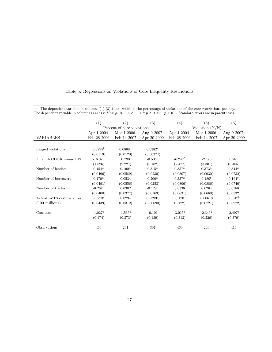|                           | (1)         | (2)                        | (3)         | (4)         | (5)               | (6)         |
|---------------------------|-------------|----------------------------|-------------|-------------|-------------------|-------------|
|                           |             | Percent of core violations |             |             | Violation $(Y/N)$ |             |
|                           | Apr 1 2004- | Mar 1 2006-                | Aug 9 2007- | Apr 1 2004- | Mar 1 2006-       | Aug 9 2007- |
| VARIABLES                 | Feb 28 2006 | Feb 14 2007                | Apr 20 2009 | Feb 28 2006 | Feb 14 2007       | Apr 20 2009 |
|                           |             |                            |             |             |                   |             |
| Lagged violations         | $0.0295^b$  | $0.0868^a$                 | $0.0382^a$  |             |                   |             |
|                           | (0.0119)    | (0.0120)                   | (0.00374)   |             |                   |             |
| 1 month CDOR minus OIS    | $-16.37^a$  | 0.798                      | $-0.584^a$  | $-6.247b$   | $-2.170$          | 0.281       |
|                           | (1.826)     | (2.227)                    | (0.182)     | (2.477)     | (3.301)           | (0.485)     |
| Number of lenders         | $0.454^a$   | $0.190^a$                  | $0.315^{a}$ | $0.357^a$   | $0.373^{\rm a}$   | $0.344^a$   |
|                           | (0.0466)    | (0.0589)                   | (0.0230)    | (0.0807)    | (0.0930)          | (0.0732)    |
| Number of borrowers       | $0.470^{a}$ | 0.0534                     | $0.200^a$   | $0.337^{a}$ | $0.180^{b}$       | $0.164^b$   |
|                           | (0.0491)    | (0.0556)                   | (0.0253)    | (0.0806)    | (0.0886)          | (0.0746)    |
| Number of trades          | $-0.267^a$  | 0.0302                     | $-0.128^a$  | 0.0338      | 0.0264            | 0.0588      |
|                           | (0.0400)    | (0.0377)                   | (0.0169)    | (0.0631)    | (0.0669)          | (0.0532)    |
| Actual LVTS cash balances | 0.0773c     | 0.0294                     | $0.0393^a$  | 0.170       | 0.00613           | $0.0547^b$  |
| $(100 \text{ millions})$  | (0.0439)    | (0.0312)                   | (0.00690)   | (0.122)     | (0.0721)          | (0.0272)    |
| Constant                  | $-1.027^a$  | $-1.565^a$                 | $-0.191$    | $-3.015^a$  | $-2.346^{\circ}$  | $-2.497^a$  |
|                           | (0.174)     | (0.373)                    | (0.139)     | (0.313)     | (0.526)           | (0.379)     |
| Observations              | 463         | 231                        | 397         | 469         | 240               | 416         |

Table 5: Regressions on Violations of Core Inequality Restrictions

The dependent variable in columns  $(1)-(3)$  is av, which is the percentage of violations of the core restrictions per day. The dependent variable in columns (4)-(6) is  $I(av \neq 0)$ .  $a p < 0.01$ ,  $b p < 0.05$ ,  $c p < 0.1$ . Standard errors are in parentheses.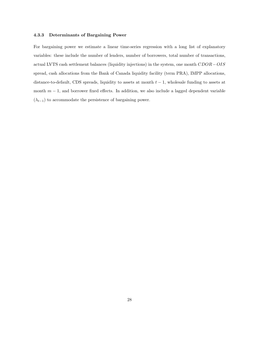#### 4.3.3 Determinants of Bargaining Power

For bargaining power we estimate a linear time-series regression with a long list of explanatory variables: these include the number of lenders, number of borrowers, total number of transactions, actual LVTS cash settlement balances (liquidity injections) in the system, one month CDOR−OIS spread, cash allocations from the Bank of Canada liquidity facility (term PRA), IMPP allocations, distance-to-default, CDS spreads, liquidity to assets at month  $t - 1$ , wholesale funding to assets at month  $m-1$ , and borrower fixed effects. In addition, we also include a lagged dependent variable  $(\lambda_{t-1})$  to accommodate the persistence of bargaining power.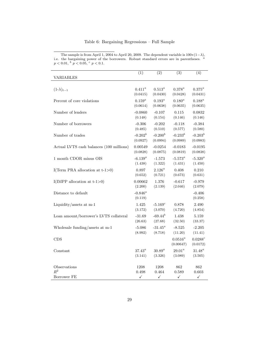The sample is from April 1, 2004 to April 20, 2009. The dependent variable is  $100*(1-\lambda)$ , i.e. the bargaining power of the borrowers. Robust standard errors are in parentheses.  $a$  $p < 0.01$ ,  $\frac{b}{p} < 0.05$ ,  $\frac{c}{p} < 0.1$ .

|                                          | $\overline{(1)}$      | $\overline{(2)}$ | $\overline{(3)}$        | $\overline{(4)}$       |
|------------------------------------------|-----------------------|------------------|-------------------------|------------------------|
| <b>VARIABLES</b>                         |                       |                  |                         |                        |
| $(1-\lambda)_{t-1}$                      | $0.411^a$             | $0.513^a$        | $0.378^{a}$             | $0.375^{a}$            |
|                                          | (0.0415)              | (0.0430)         | (0.0428)                | (0.0431)               |
| Percent of core violations               | $0.159^{a}$           | $0.193^{a}$      | $0.180^{a}$             | $0.188^{a}$            |
|                                          | (0.0614)              | (0.0638)         | (0.0635)                | (0.0635)               |
| Number of lenders                        | $-0.0860$             | $-0.107$         | 0.115                   | 0.0832                 |
|                                          | (0.148)               | (0.154)          | (0.146)                 | (0.146)                |
| Number of borrowers                      | $-0.306$              | $-0.202$         | $-0.118$                | $-0.384$               |
|                                          | (0.485)               | (0.510)          | (0.577)                 | (0.580)                |
| Number of trades                         | $-0.202^b$            | $-0.200^b$       | $-0.233^{b}$            | $-0.203^{b}$           |
|                                          | (0.0927)              | (0.0994)         | (0.0989)                | (0.0983)               |
| Actual LVTS cash balances (100 millions) | 0.00549               | $-0.0254$        | $-0.0183$               | $-0.0195$              |
|                                          | (0.0828)              | (0.0875)         | (0.0819)                | (0.0838)               |
| 1 month CDOR minus OIS                   | $-6.139^{a}$          | $-1.573$         | $-5.573^a$              | $-5.320^a$             |
|                                          | (1.438)               | (1.322)          | (1.431)                 | (1.450)                |
| I(Term PRA allocation at $t-1>0$ )       | 0.897                 | $2.126^a$        | 0.408                   | 0.210                  |
|                                          | (0.652)               | (0.721)          | (0.673)                 | (0.631)                |
| I(IMPP allocation at $t-1>0$ )           | 0.00662               | 1.376            | $-0.617$                | $-0.979$               |
|                                          | (2.200)               | (2.139)          | (2.046)                 | (2.079)                |
| Distance to default                      | $-0.846^a$<br>(0.119) |                  |                         | $-0.406$<br>(0.258)    |
| Liquidity/assets at m-1                  | 1.425                 | $-5.169c$        | 0.878                   | 2.490                  |
|                                          | (3.172)               | (3.070)          | (4.720)                 | (4.854)                |
| Loan amount/borrower's LVTS collateral   | $-31.69$              | $-69.44^{b}$     | 1.438                   | 5.159                  |
|                                          | (26.63)               | (27.68)          | (32.50)                 | (33.37)                |
| Wholesale funding/assets at m-1          | $-5.086$              | $-31.45^a$       | $-8.525$                | $-2.205$               |
|                                          | (8.992)               | (8.718)          | (11.20)                 | (11.41)                |
| <b>CDS</b>                               |                       |                  | $0.0516^a$<br>(0.00647) | $0.0288^c$<br>(0.0172) |
| Constant                                 | $37.43^a$             | $30.89^a$        | $29.01^a$               | $31.48^a$              |
|                                          | (3.141)               | (3.326)          | (3.089)                 | (3.505)                |
| Observations                             | 1208                  | 1208             | 862                     | 862                    |
| $R^2$                                    | 0.498                 | 0.464            | 0.589                   | 0.603                  |
| Borrower FE                              | $\checkmark$          | ✓                | ✓                       | $\checkmark$           |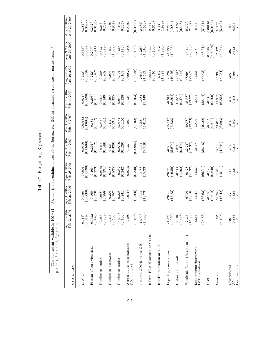Table 7: Bargaining Regressions Table 7: Bargaining Regressions The dependent variable is 100  $*(1 - \lambda)$ , i.e. the bargaining power of the borrowers. Robust standard errors are in parentheses. <sup>a</sup>  $p < 0.01$ , <sup>b</sup>  $p < 0.05$ , <sup>c</sup>  $p < 0.1$ . The dependent variable is 100 ∗ (1 − λ), i.e. the bargaining power of the borrowers. Robust standard errors are in parentheses. a  $p < 0.01$ ,  $^{b} p < 0.05$ ,  $^{c} p < 0.1$ .

|                                                       | Apr 1 2004-<br>Feb 28 2006 | Apr 1 2004-            | Apr 1 2004                  | Mar 1 2006-                      | Mar 1 2006-             | Mar 1 2006              | Aug 9 2007-                   | Aug 9 2007-               | Aug 9 2007-            |
|-------------------------------------------------------|----------------------------|------------------------|-----------------------------|----------------------------------|-------------------------|-------------------------|-------------------------------|---------------------------|------------------------|
| VARIABLES                                             |                            | Feb 28 2006            | Feb 28 2006                 | Feb 14 2007                      | Feb 14 2007             | Feb 14 2007             | Apr 20 2009                   | Apr 20 2009               | Apr 20 2009            |
| $(1-\lambda)_{t-1}$                                   | (0.0470)<br>$0.116^b$      | 0.0606<br>0.0893       | (0.0596)<br>0.0901          | 0.0889<br>$-0.0690$              | 0.00182<br>(0.0884)     | 0.0896<br>$-0.0717$     | (0.0628)<br>$0.282^{a}$       | (0.0592)<br>$0.338^{a}$   | $(0.282^a)$            |
| Percent of core violations                            | (0.170)<br>0.0632          | $\binom{0.465}{0.370}$ | (0.373)<br>0.466            | $-0.201$ <sup>c</sup><br>(0.112) | (0.112)<br>$-0.181$     | $-0.203^c$<br>(0.111)   | (0.0702)<br>$0.242^a$         | 0.0711<br>$0.207^{a}$     | (0.0705)<br>$0.242^a$  |
| Number of lenders                                     | (0.269)<br>$-0.354$        | $-0.0680$<br>(0.288)   | $-0.0665$<br>(0.291)        | (0.149)<br>0.0465                | $-0.0357$<br>(0.141)    | (0.149)<br>0.0534       | (0.268)<br>0.250              | (0.278)<br>0.343          | (0.267)<br>0.253       |
| Number of borrowers                                   | (0.560)<br>$-0.515$        | $-0.203$<br>(0.787)    | $-0.188$<br>$(0.825)$       | $(0.435)$<br>$(0.429)$           | (0.534)<br>0.416        | (0.425)<br>0.399        | (0.962)<br>$-0.995$           | (1.008)<br>$-0.551$       | (0.967)<br>$-0.986$    |
| Number of trades                                      | $-0.00713$<br>(0.166)      | $-0.228$<br>(0.241)    | (0.242)<br>$-0.232$         | 0.0706<br>(0.129)                | 0.0174<br>(0.115)       | (0.128)                 | (0.165)<br>$-0.101$           | (0.173)<br>$-0.229$       | (0.165)<br>$-0.103$    |
| Actual LVTS cash balances<br>$(100 \text{ millions})$ | $-0.108$                   | 0.0118                 | 0.0295                      | 0.132                            | 0.106                   | 0.134                   | 0.00878                       | 0.0348                    | 0.00867                |
|                                                       | (0.186)                    | (0.300)                | (0.340)                     | (1.0984)                         | (0.102)                 | (0.103)                 | (0.0938)                      | (0.100)                   | (0.0938)               |
| 1 month CDOR minus OIS                                | $\frac{-15.73^b}{(7.206)}$ | (13.73)<br>$-17.34$    | (15.23)<br>$-16.88$         | (5.519)<br>$-1.191$              | $\binom{0.958}{5.412}$  | (5.449)<br>$-1.481$     | $-2.646^{\circ}$<br>(1.532)   | (1.610)                   | $-2.689^c$<br>(1.563)  |
| I(Term PRA allocation at t-1>0)                       |                            |                        |                             |                                  |                         |                         | $-0.0664$<br>(0.646)          | $-0.0133$<br>(0.700)      | $-0.0747$<br>(0.653)   |
| I(IMPP allocation at t-1>0)                           |                            |                        |                             |                                  |                         |                         | (1.985)<br>$-1.452$           | (1.896)<br>$-0.812$       | (1.989)<br>$-1.447$    |
| Liquidity/assets at m-1                               | (4.920)<br>$-1.621$        | $-28.43$<br>(17.23)    | $-28.75^{\circ}$<br>(16.59) | (5.674)<br>$-6.508$              | $-15.61^{b}$<br>(7.236) | (6.304)<br>$-8.314$     | (10.76)<br>2.926              | $-4.930$<br>(10.95)       | (10.84)<br>2.746       |
| Distance to default                                   | (0.546)                    |                        | (1.292)<br>$-0.171$         | (0.474)<br>$2.011^{\,a}$         |                         | $1.951^{a}$<br>(0.471)  | $-2.197^{a}$<br>(0.272)       |                           | $-2.155^a$<br>(0.448)  |
| Wholesale funding/assets at m-1                       | (14.83)<br>$-21.35$        | (48.16)<br>$-67.07$    | (51.32)<br>$-66.28$         | $-32.21^a$<br>(12.37)            | $-30.38^{b}$<br>(13.20) | $-35.38^{a}$<br>(13.22) | (22.02)<br>$58.69^{a}$        | (20.53)<br>15.41          | $58.09^a$<br>(21.87)   |
| Loan amount/borrower's<br>LVTS collateral             | $-33.55$                   | 61.21                  | 62.32                       | $-31.47$                         | $-30.00$                | $-30.04$                | 44.82                         | 37.37                     | 45.43                  |
|                                                       | (25.63)                    | (66.63)                | (66.71)                     | (38.16)                          | (40.29)                 | (38.14)                 | (57.03)                       | (58.31)                   | (57.61)                |
| CDS                                                   |                            | (0.612)<br>$-0.136$    | (0.649)<br>$-0.126$         |                                  | (0.217)<br>$-0.307$     | (0.200)<br>$-0.170$     |                               | (0.00989)<br>$0.0685^{a}$ | 0.00176<br>(0.0154)    |
| Constant                                              | (5.195)<br>$44.35^{a}$     | $59.79^{a}$<br>(16.42) | $60.81^{a}$<br>(15.11)      | (4.744)                          | $54.65^a$<br>(6.893)    | $41.32^a$<br>(6.352)    | (5.284)<br>34.33 <sup>a</sup> | (5.364)<br>$25.12^a$      | (5.662)<br>$34.15^{a}$ |
| Observations                                          | 463                        | 117                    | 117                         | 231                              | 231                     | 231                     | 397                           | 397                       | 397                    |
| Borrower FE                                           | 0.134                      | 0.324<br>↘             | 0.324<br>↘                  | 0.215<br>$\checkmark$            | 0.152<br>↘              | 0.218<br>$\checkmark$   | 0.596<br>↘                    | 0.572<br>↘                | 0.596<br>↘             |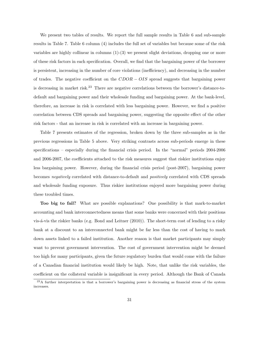We present two tables of results. We report the full sample results in Table 6 and sub-sample results in Table 7. Table 6 column (4) includes the full set of variables but because some of the risk variables are highly collinear in columns  $(1)-(3)$  we present slight deviations, dropping one or more of these risk factors in each specification. Overall, we find that the bargaining power of the borrower is persistent, increasing in the number of core violations (inefficiency), and decreasing in the number of trades. The negative coefficient on the  $CDOR - OIS$  spread suggests that bargaining power is decreasing in market risk.<sup>23</sup> There are negative correlations between the borrower's distance-todefault and bargaining power and their wholesale funding and bargaining power. At the bank-level, therefore, an increase in risk is correlated with less bargaining power. However, we find a positive correlation between CDS spreads and bargaining power, suggesting the opposite effect of the other risk factors - that an increase in risk is correlated with an increase in bargaining power.

Table 7 presents estimates of the regression, broken down by the three sub-samples as in the previous regressions in Table 5 above. Very striking contrasts across sub-periods emerge in these specifications – especially during the financial crisis period. In the "normal" periods 2004-2006 and 2006-2007, the coefficients attached to the risk measures suggest that riskier institutions enjoy less bargaining power. However, during the financial crisis period (post-2007), bargaining power becomes negatively correlated with distance-to-default and positively correlated with CDS spreads and wholesale funding exposure. Thus riskier institutions enjoyed more bargaining power during these troubled times.

Too big to fail? What are possible explanations? One possibility is that mark-to-market accounting and bank interconnectedness means that some banks were concerned with their positions vis- $\acute{a}$ -vis the riskier banks (e.g. Bond and Leitner (2010)). The short-term cost of lending to a risky bank at a discount to an interconnected bank might be far less than the cost of having to mark down assets linked to a failed institution. Another reason is that market participants may simply want to prevent government intervention. The cost of government intervention might be deemed too high for many participants, given the future regulatory burden that would come with the failure of a Canadian financial institution would likely be high. Note, that unlike the risk variables, the coefficient on the collateral variable is insignificant in every period. Although the Bank of Canada

<sup>23</sup>A further interpretation is that a borrower's bargaining power is decreasing as financial stress of the system increases.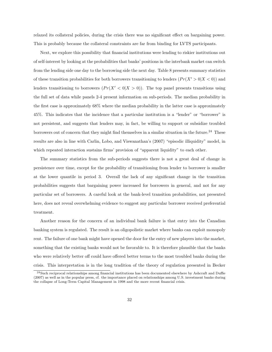relaxed its collateral policies, during the crisis there was no significant effect on bargaining power. This is probably because the collateral constraints are far from binding for LVTS participants.

Next, we explore this possibility that financial institutions were lending to riskier institutions out of self-interest by looking at the probabilities that banks' positions in the interbank market can switch from the lending side one day to the borrowing side the next day. Table 8 presents summary statistics of these transition probabilities for both borrowers transitioning to lenders  $(Pr(X' > 0|X < 0))$  and lenders transitioning to borrowers  $(Pr(X' < 0|X > 0))$ . The top panel presents transitions using the full set of data while panels 2-4 present information on sub-periods. The median probability in the first case is approximately 68% where the median probability in the latter case is approximately 45%. This indicates that the incidence that a particular institution is a "lender" or "borrower" is not persistent, and suggests that lenders may, in fact, be willing to support or subsidize troubled borrowers out of concern that they might find themselves in a similar situation in the future.<sup>24</sup> These results are also in line with Carlin, Lobo, and Viswanathan's (2007) "episodic illiquidity" model, in which repeated interaction sustains firms' provision of "apparent liquidity" to each other.

The summary statistics from the sub-periods suggests there is not a great deal of change in persistence over time, except for the probability of transitioning from lender to borrower is smaller at the lower quantile in period 3. Overall the lack of any significant change in the transition probabilities suggests that bargaining power increased for borrowers in general, and not for any particular set of borrowers. A careful look at the bank-level transition probabilities, not presented here, does not reveal overwhelming evidence to suggest any particular borrower received preferential treatment.

Another reason for the concern of an individual bank failure is that entry into the Canadian banking system is regulated. The result is an oligopolistic market where banks can exploit monopoly rent. The failure of one bank might have opened the door for the entry of new players into the market, something that the existing banks would not be favorable to. It is therefore plausible that the banks who were relatively better off could have offered better terms to the most troubled banks during the crisis. This interpretation is in the long tradition of the theory of regulation presented in Becker

<sup>&</sup>lt;sup>24</sup>Such reciprocal relationships among financial institutions has been documented elsewhere by Ashcraft and Duffie (2007) as well as in the popular press, cf. the importance placed on relationships among U.S. investment banks during the collapse of Long-Term Capital Management in 1998 and the more recent financial crisis.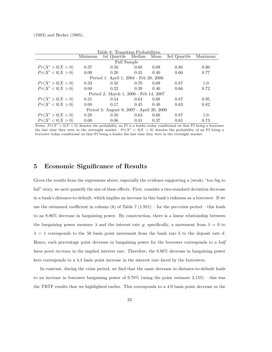(1983) and Becker (1985).

|                                           |                                        | Table 8: Transition Probabilities |        |      |              |         |  |  |  |  |  |
|-------------------------------------------|----------------------------------------|-----------------------------------|--------|------|--------------|---------|--|--|--|--|--|
|                                           | Minimum                                | 1st Quartile                      | Median | Mean | 3rd Quartile | Maximum |  |  |  |  |  |
|                                           |                                        | Full Sample                       |        |      |              |         |  |  |  |  |  |
| Pr(X' > 0   X < 0)                        | 0.37                                   | 0.56                              | 0.68   | 0.69 | 0.86         | 0.96    |  |  |  |  |  |
| Pr(X' < 0 X > 0)                          | 0.00                                   | 0.20                              | 0.45   | 0.40 | 0.60         | 0.77    |  |  |  |  |  |
| Period 1: April 1, 2004 - Feb 28, 2006    |                                        |                                   |        |      |              |         |  |  |  |  |  |
| Pr(X' > 0   X < 0)                        | 0.33                                   | 0.50                              | 0.70   | 0.69 | 0.87         | 1.0     |  |  |  |  |  |
| Pr(X' < 0 X > 0)                          | 0.00                                   | 0.22                              | 0.39   | 0.40 | 0.66         | 0.72    |  |  |  |  |  |
|                                           | Period 2: March 1, 2006 - Feb 14, 2007 |                                   |        |      |              |         |  |  |  |  |  |
| Pr(X' > 0   X < 0)                        | 0.31                                   | 0.54                              | 0.64   | 0.68 | 0.87         | 0.95    |  |  |  |  |  |
| Pr(X' < 0 X > 0)                          | 0.00                                   | 0.17                              | 0.45   | 0.40 | 0.63         | 0.82    |  |  |  |  |  |
| Period 3: August 9, 2007 - April 20, 2009 |                                        |                                   |        |      |              |         |  |  |  |  |  |
| Pr(X' > 0   X < 0)                        | 0.28                                   | 0.50                              | 0.63   | 0.66 | 0.87         | 1.0     |  |  |  |  |  |
| Pr(X' < 0 X > 0)                          | 0.00                                   | 0.06                              | 0.41   | 0.37 | 0.65         | 0.73    |  |  |  |  |  |

Notes:  $Pr(X' > 0 | X < 0)$  denotes the probability an FI is a lender today conditional on that FI being a borrower the last time they were in the overnight market.  $Pr(X' < 0|X > 0)$  denotes the probability of an FI being a borrower today conditional on that FI being a lender the last time they were in the overnight market.

## 5 Economic Significance of Results

Given the results from the regressions above, especially the evidence supporting a (weak) "too big to fail" story, we next quantify the size of these effects. First, consider a two-standard deviation decrease in a bank's distance-to-default, which implies an increase in this bank's riskiness as a borrower. If we use the estimated coefficient in column  $(6)$  of Table 7  $(1.951)$  – for the pre-crisis period – this leads to an 8.86% decrease in bargaining power. By construction, there is a linear relationship between the bargaining power measure  $\lambda$  and the interest rate y; specifically, a movement from  $\lambda = 0$  to  $\lambda = 1$  corresponds to the 50 basis point movement from the bank rate b to the deposit rate d. Hence, each percentage point decrease in bargaining power for the borrower corresponds to a half basis point increase in the implied interest rate. Therefore, the 8.86% decrease in bargaining power here corresponds to a 4.4 basis point increase in the interest rate faced by the borrowers.

In contrast, during the crisis period, we find that the same decrease in distance-to-default leads to an increase in borrower bargaining power of 9.78% (using the point estimate 2.155) – this was the TBTF results that we highlighted earlier. This corresponds to a 4.9 basis point decrease in the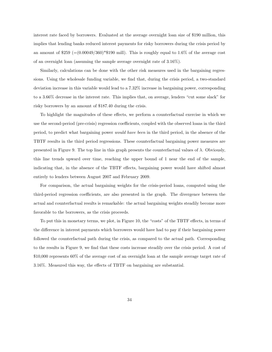interest rate faced by borrowers. Evaluated at the average overnight loan size of \$190 million, this implies that lending banks reduced interest payments for risky borrowers during the crisis period by an amount of  $259$  (=(0.00049/360)\*\$190 mill). This is roughly equal to 1.6% of the average cost of an overnight loan (assuming the sample average overnight rate of 3.16%).

Similarly, calculations can be done with the other risk measures used in the bargaining regressions. Using the wholesale funding variable, we find that, during the crisis period, a two-standard deviation increase in this variable would lead to a 7.32% increase in bargaining power, corresponding to a 3.66% decrease in the interest rate. This implies that, on average, lenders "cut some slack" for risky borrowers by an amount of \$187.40 during the crisis.

To highlight the magnitudes of these effects, we perform a counterfactual exercise in which we use the second-period (pre-crisis) regression coefficients, coupled with the observed loans in the third period, to predict what bargaining power would have been in the third period, in the absence of the TBTF results in the third period regressions. These counterfactual bargaining power measures are presented in Figure 9. The top line in this graph presents the counterfactual values of  $\lambda$ . Obviously, this line trends upward over time, reaching the upper bound of 1 near the end of the sample, indicating that, in the absence of the TBTF effects, bargaining power would have shifted almost entirely to lenders between August 2007 and February 2009.

For comparison, the actual bargaining weights for the crisis-period loans, computed using the third-period regression coefficients, are also presented in the graph. The divergence between the actual and counterfactual results is remarkable: the actual bargaining weights steadily become more favorable to the borrowers, as the crisis proceeds.

To put this in monetary terms, we plot, in Figure 10, the "costs" of the TBTF effects, in terms of the difference in interest payments which borrowers would have had to pay if their bargaining power followed the counterfactual path during the crisis, as compared to the actual path. Corresponding to the results in Figure 9, we find that these costs increase steadily over the crisis period. A cost of \$10,000 represents 60% of the average cost of an overnight loan at the sample average target rate of 3.16%. Measured this way, the effects of TBTF on bargaining are substantial.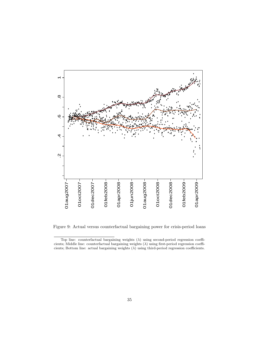

Figure 9: Actual versus counterfactual bargaining power for crisis-period loans

Top line: counterfactual bargaining weights  $(\lambda)$  using second-period regression coefficients; Middle line: counterfactual bargaining weights  $(\lambda)$  using first-period regression coefficients; Bottom line: actual bargaining weights (λ) using third-period regression coefficients.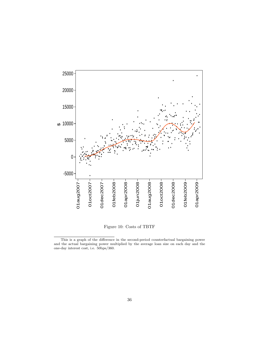

Figure 10: Costs of TBTF

This is a graph of the difference in the second-period counterfactual bargaining power and the actual bargaining power multiplied by the average loan size on each day and the one-day interest cost, i.e. 50bps/360.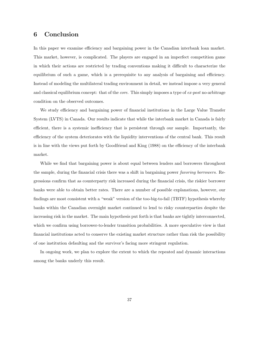### 6 Conclusion

In this paper we examine efficiency and bargaining power in the Canadian interbank loan market. This market, however, is complicated. The players are engaged in an imperfect competition game in which their actions are restricted by trading conventions making it difficult to characterize the equilibrium of such a game, which is a prerequisite to any analysis of bargaining and efficiency. Instead of modeling the multilateral trading environment in detail, we instead impose a very general and classical equilibrium concept: that of the *core*. This simply imposes a type of ex-post no-arbitrage condition on the observed outcomes.

We study efficiency and bargaining power of financial institutions in the Large Value Transfer System (LVTS) in Canada. Our results indicate that while the interbank market in Canada is fairly efficient, there is a systemic inefficiency that is persistent through our sample. Importantly, the efficiency of the system deteriorates with the liquidity interventions of the central bank. This result is in line with the views put forth by Goodfriend and King (1988) on the efficiency of the interbank market.

While we find that bargaining power is about equal between lenders and borrowers throughout the sample, during the financial crisis there was a shift in bargaining power favoring borrowers. Regressions confirm that as counterparty risk increased during the financial crisis, the riskier borrower banks were able to obtain better rates. There are a number of possible explanations, however, our findings are most consistent with a "weak" version of the too-big-to-fail (TBTF) hypothesis whereby banks within the Canadian overnight market continued to lend to risky counterparties despite the increasing risk in the market. The main hypothesis put forth is that banks are tightly interconnected, which we confirm using borrower-to-lender transition probabilities. A more speculative view is that financial institutions acted to conserve the existing market structure rather than risk the possibility of one institution defaulting and the survivor's facing more stringent regulation.

In ongoing work, we plan to explore the extent to which the repeated and dynamic interactions among the banks underly this result.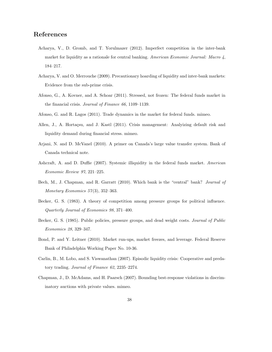## References

- Acharya, V., D. Gromb, and T. Yorulmazer (2012). Imperfect competition in the inter-bank market for liquidity as a rationale for central banking. American Economic Journal: Macro 4, 184–217.
- Acharya, V. and O. Merrouche (2009). Precautionary hoarding of liquidity and inter-bank markets: Evidence from the sub-prime crisis.
- Afonso, G., A. Kovner, and A. Schoar (2011). Stressed, not frozen: The federal funds market in the financial crisis. Journal of Finance 66, 1109–1139.
- Afonso, G. and R. Lagos (2011). Trade dynamics in the market for federal funds. mimeo.
- Allen, J., A. Hortaçsu, and J. Kastl (2011). Crisis management: Analyizing default risk and liquidity demand during financial stress. mimeo.
- Arjani, N. and D. McVanel (2010). A primer on Canada's large value transfer system. Bank of Canada technical note.
- Ashcraft, A. and D. Duffie (2007). Systemic illiquidity in the federal funds market. American Economic Review 97, 221–225.
- Bech, M., J. Chapman, and R. Garratt (2010). Which bank is the "central" bank? Journal of Monetary Economics  $57(3)$ , 352-363.
- Becker, G. S. (1983). A theory of competition among pressure groups for political influence. Quarterly Journal of Economics 98, 371–400.
- Becker, G. S. (1985). Public policies, pressure groups, and dead weight costs. Journal of Public Economics 28, 329–347.
- Bond, P. and Y. Leitner (2010). Market run-ups, market freezes, and leverage. Federal Reserve Bank of Philadelphia Working Paper No. 10-36.
- Carlin, B., M. Lobo, and S. Viswanathan (2007). Episodic liquidity crisis: Cooperative and predatory trading. Journal of Finance 62, 2235–2274.
- Chapman, J., D. McAdams, and H. Paarsch (2007). Bounding best-response violations in discriminatory auctions with private values. mimeo.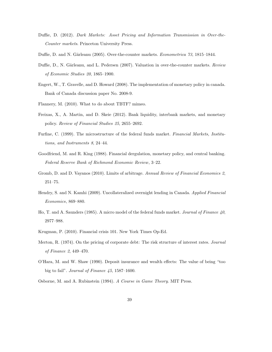- Duffie, D. (2012). Dark Markets: Asset Pricing and Information Transmission in Over-the-Counter markets. Princeton University Press.
- Duffie, D. and N. Gârleanu (2005). Over-the-counter markets. Econometrica 73, 1815–1844.
- Duffie, D., N. Gârleanu, and L. Pedersen (2007). Valuation in over-the-counter markets. Review of Economic Studies 20, 1865–1900.
- Engert, W., T. Gravelle, and D. Howard (2008). The implementation of monetary policy in canada. Bank of Canada discussion paper No. 2008-9.
- Flannery, M. (2010). What to do about TBTF? mimeo.
- Freixas, X., A. Martin, and D. Skeie (2012). Bank liquidity, interbank markets, and monetary policy. Review of Financial Studies 25, 2655–2692.
- Furfine, C. (1999). The microstructure of the federal funds market. Financial Markets, Institutions, and Instruments 8, 24–44.
- Goodfriend, M. and R. King (1988). Financial dergulation, monetary policy, and central banking. Federal Reserve Bank of Richmond Economic Review, 3–22.
- Gromb, D. and D. Vayanos (2010). Limits of arbitrage. Annual Review of Financial Economics 2, 251–75.
- Hendry, S. and N. Kamhi (2009). Uncollateralized overnight lending in Canada. Applied Financial Economics, 869–880.
- Ho, T. and A. Saunders (1985). A micro model of the federal funds market. Journal of Finance  $\mu_0$ , 2977–988.
- Krugman, P. (2010). Financial crisis 101. New York Times Op-Ed.
- Merton, R. (1974). On the pricing of corporate debt: The risk structure of interest rates. Journal of Finance 2, 449–470.
- O'Hara, M. and W. Shaw (1990). Deposit insurance and wealth effects: The value of being "too big to fail". Journal of Finance 45, 1587–1600.
- Osborne, M. and A. Rubinstein (1994). A Course in Game Theory. MIT Press.